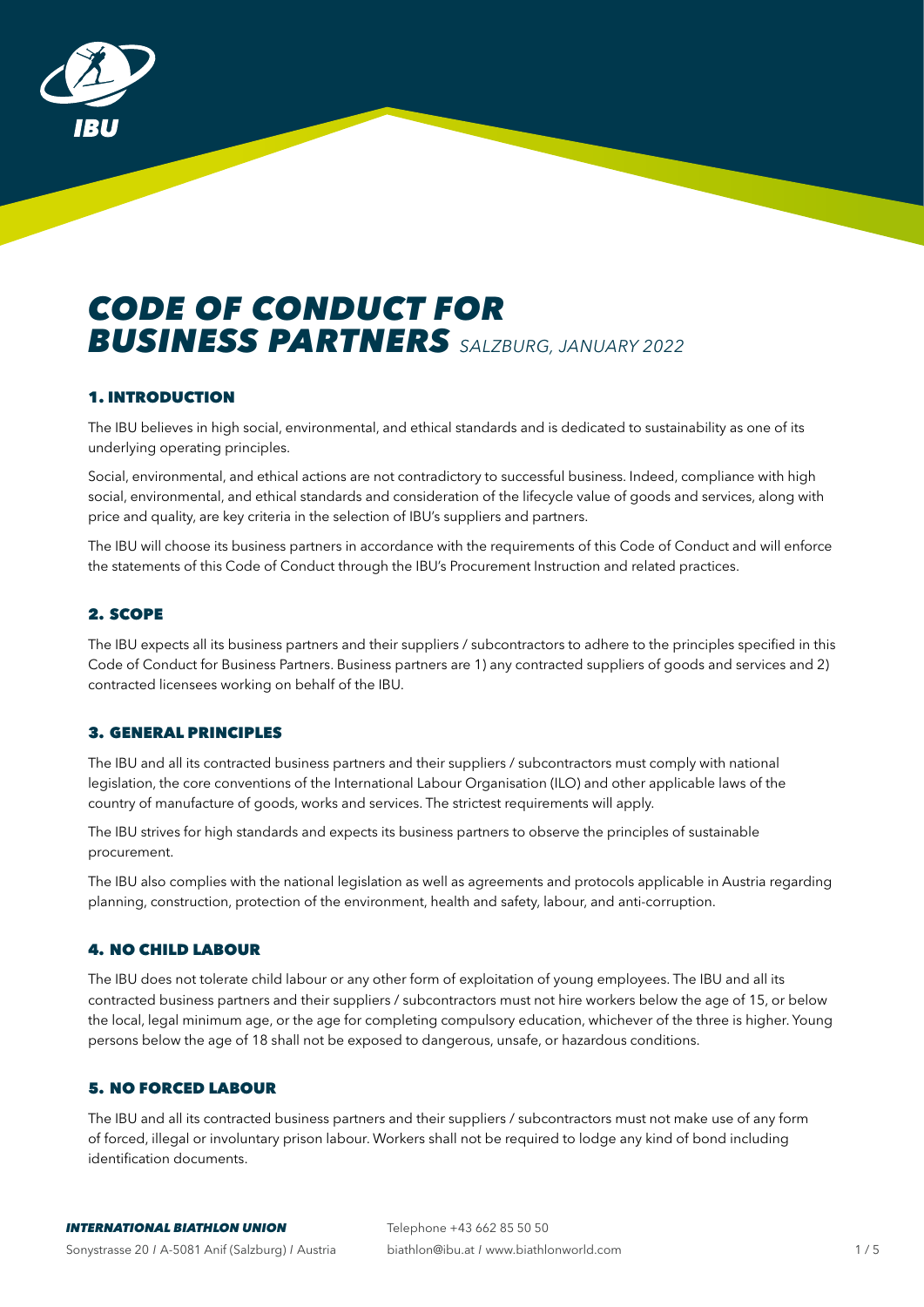

# *CODE OF CONDUCT FOR BUSINESS PARTNERS SALZBURG, JANUARY 2022*

# 1. INTRODUCTION

The IBU believes in high social, environmental, and ethical standards and is dedicated to sustainability as one of its underlying operating principles.

Social, environmental, and ethical actions are not contradictory to successful business. Indeed, compliance with high social, environmental, and ethical standards and consideration of the lifecycle value of goods and services, along with price and quality, are key criteria in the selection of IBU's suppliers and partners.

The IBU will choose its business partners in accordance with the requirements of this Code of Conduct and will enforce the statements of this Code of Conduct through the IBU's Procurement Instruction and related practices.

# 2. SCOPE

The IBU expects all its business partners and their suppliers / subcontractors to adhere to the principles specified in this Code of Conduct for Business Partners. Business partners are 1) any contracted suppliers of goods and services and 2) contracted licensees working on behalf of the IBU.

## 3. GENERAL PRINCIPLES

The IBU and all its contracted business partners and their suppliers / subcontractors must comply with national legislation, the core conventions of the International Labour Organisation (ILO) and other applicable laws of the country of manufacture of goods, works and services. The strictest requirements will apply.

The IBU strives for high standards and expects its business partners to observe the principles of sustainable procurement.

The IBU also complies with the national legislation as well as agreements and protocols applicable in Austria regarding planning, construction, protection of the environment, health and safety, labour, and anti-corruption.

## 4. NO CHILD LABOUR

The IBU does not tolerate child labour or any other form of exploitation of young employees. The IBU and all its contracted business partners and their suppliers / subcontractors must not hire workers below the age of 15, or below the local, legal minimum age, or the age for completing compulsory education, whichever of the three is higher. Young persons below the age of 18 shall not be exposed to dangerous, unsafe, or hazardous conditions.

## 5. NO FORCED LABOUR

The IBU and all its contracted business partners and their suppliers / subcontractors must not make use of any form of forced, illegal or involuntary prison labour. Workers shall not be required to lodge any kind of bond including identification documents.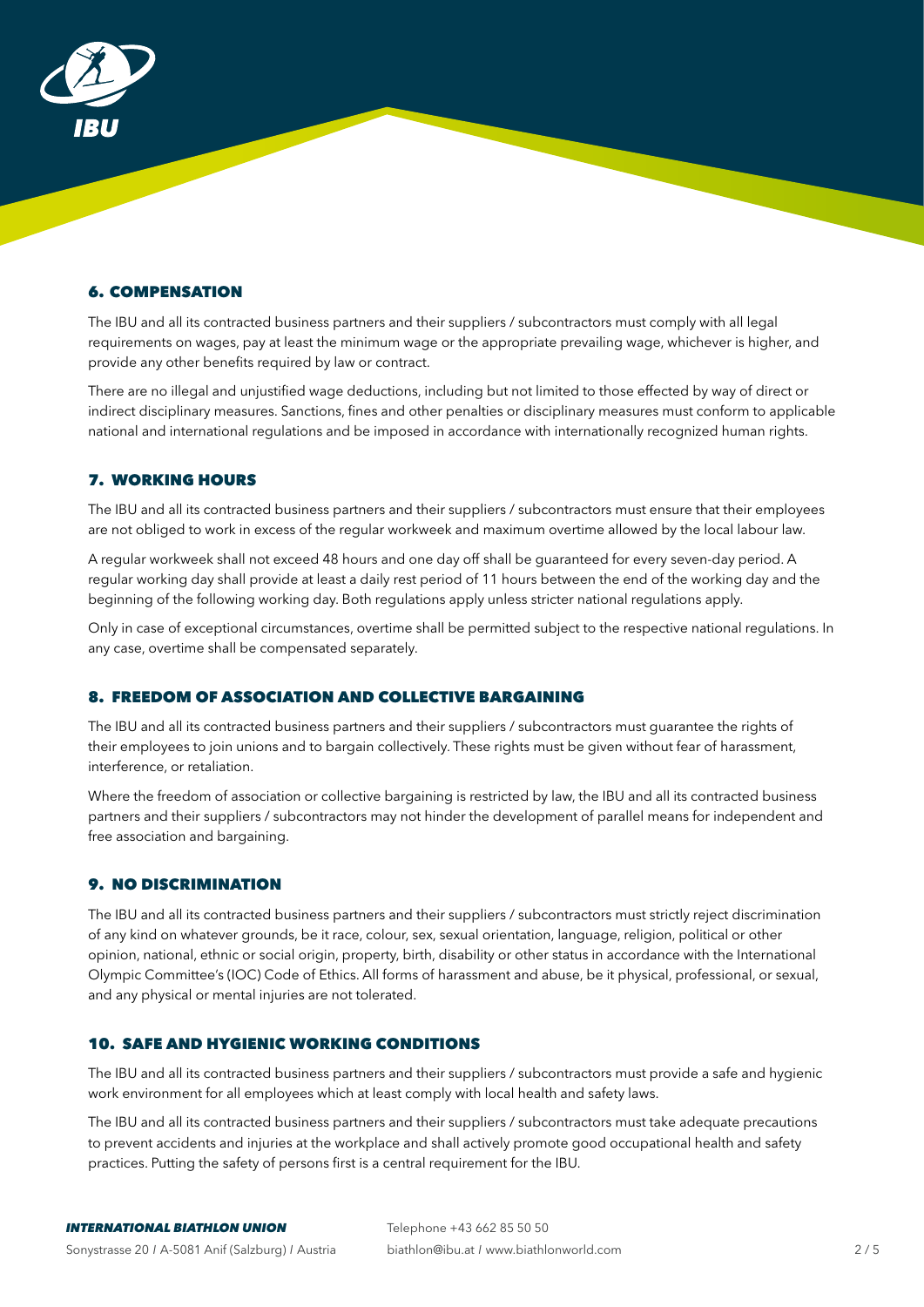

# 6. COMPENSATION

The IBU and all its contracted business partners and their suppliers / subcontractors must comply with all legal requirements on wages, pay at least the minimum wage or the appropriate prevailing wage, whichever is higher, and provide any other benefits required by law or contract.

There are no illegal and unjustified wage deductions, including but not limited to those effected by way of direct or indirect disciplinary measures. Sanctions, fines and other penalties or disciplinary measures must conform to applicable national and international regulations and be imposed in accordance with internationally recognized human rights.

## 7. WORKING HOURS

The IBU and all its contracted business partners and their suppliers / subcontractors must ensure that their employees are not obliged to work in excess of the regular workweek and maximum overtime allowed by the local labour law.

A regular workweek shall not exceed 48 hours and one day off shall be guaranteed for every seven-day period. A regular working day shall provide at least a daily rest period of 11 hours between the end of the working day and the beginning of the following working day. Both regulations apply unless stricter national regulations apply.

Only in case of exceptional circumstances, overtime shall be permitted subject to the respective national regulations. In any case, overtime shall be compensated separately.

## 8. FREEDOM OF ASSOCIATION AND COLLECTIVE BARGAINING

The IBU and all its contracted business partners and their suppliers / subcontractors must guarantee the rights of their employees to join unions and to bargain collectively. These rights must be given without fear of harassment, interference, or retaliation.

Where the freedom of association or collective bargaining is restricted by law, the IBU and all its contracted business partners and their suppliers / subcontractors may not hinder the development of parallel means for independent and free association and bargaining.

## 9. NO DISCRIMINATION

The IBU and all its contracted business partners and their suppliers / subcontractors must strictly reject discrimination of any kind on whatever grounds, be it race, colour, sex, sexual orientation, language, religion, political or other opinion, national, ethnic or social origin, property, birth, disability or other status in accordance with the International Olympic Committee's (IOC) Code of Ethics. All forms of harassment and abuse, be it physical, professional, or sexual, and any physical or mental injuries are not tolerated.

# 10. SAFE AND HYGIENIC WORKING CONDITIONS

The IBU and all its contracted business partners and their suppliers / subcontractors must provide a safe and hygienic work environment for all employees which at least comply with local health and safety laws.

The IBU and all its contracted business partners and their suppliers / subcontractors must take adequate precautions to prevent accidents and injuries at the workplace and shall actively promote good occupational health and safety practices. Putting the safety of persons first is a central requirement for the IBU.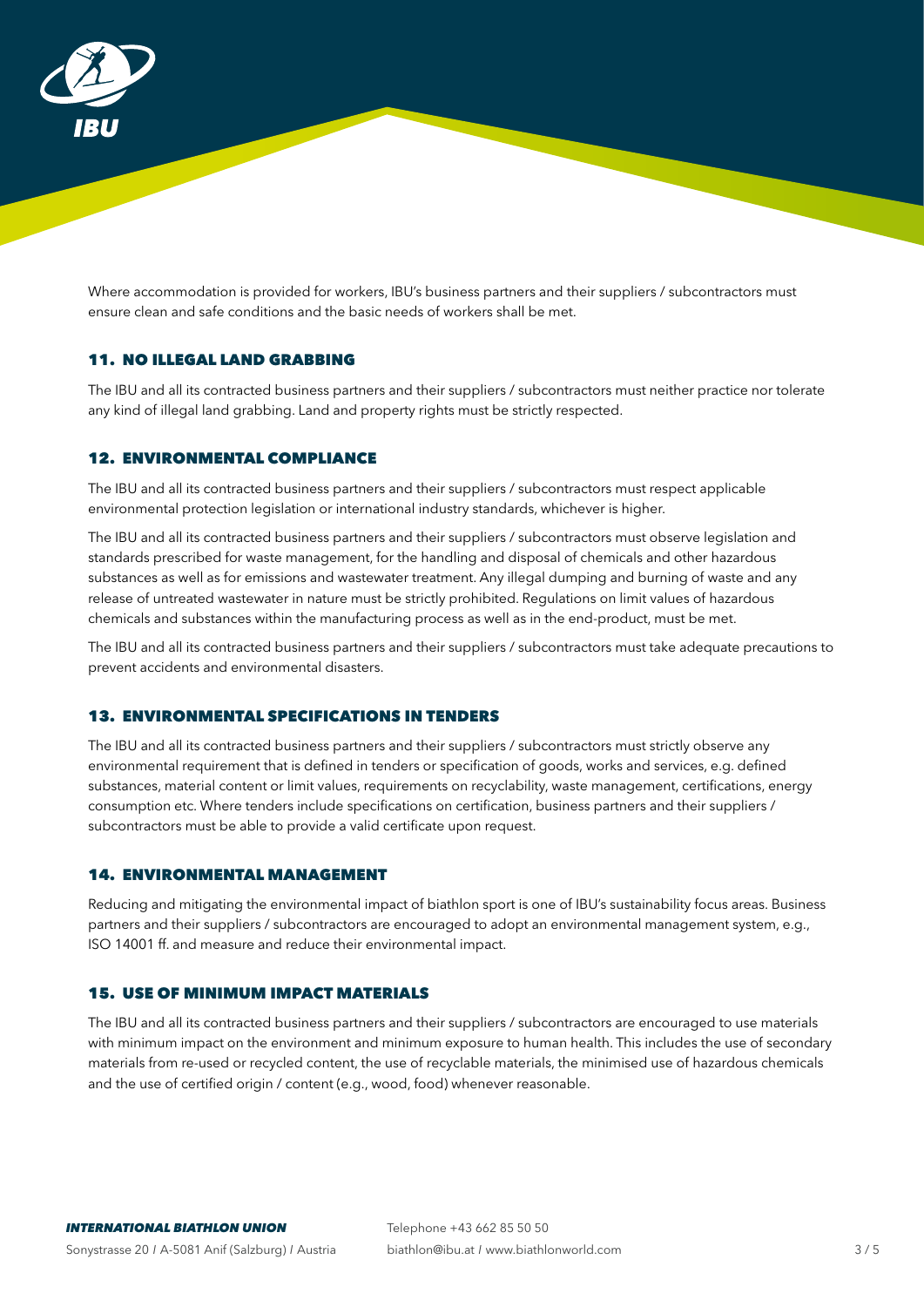

Where accommodation is provided for workers, IBU's business partners and their suppliers / subcontractors must ensure clean and safe conditions and the basic needs of workers shall be met.

# 11. NO ILLEGAL LAND GRABBING

The IBU and all its contracted business partners and their suppliers / subcontractors must neither practice nor tolerate any kind of illegal land grabbing. Land and property rights must be strictly respected.

## 12. ENVIRONMENTAL COMPLIANCE

The IBU and all its contracted business partners and their suppliers / subcontractors must respect applicable environmental protection legislation or international industry standards, whichever is higher.

The IBU and all its contracted business partners and their suppliers / subcontractors must observe legislation and standards prescribed for waste management, for the handling and disposal of chemicals and other hazardous substances as well as for emissions and wastewater treatment. Any illegal dumping and burning of waste and any release of untreated wastewater in nature must be strictly prohibited. Regulations on limit values of hazardous chemicals and substances within the manufacturing process as well as in the end-product, must be met.

The IBU and all its contracted business partners and their suppliers / subcontractors must take adequate precautions to prevent accidents and environmental disasters.

## 13. ENVIRONMENTAL SPECIFICATIONS IN TENDERS

The IBU and all its contracted business partners and their suppliers / subcontractors must strictly observe any environmental requirement that is defined in tenders or specification of goods, works and services, e.g. defined substances, material content or limit values, requirements on recyclability, waste management, certifications, energy consumption etc. Where tenders include specifications on certification, business partners and their suppliers / subcontractors must be able to provide a valid certificate upon request.

# 14. ENVIRONMENTAL MANAGEMENT

Reducing and mitigating the environmental impact of biathlon sport is one of IBU's sustainability focus areas. Business partners and their suppliers / subcontractors are encouraged to adopt an environmental management system, e.g., ISO 14001 ff. and measure and reduce their environmental impact.

## 15. USE OF MINIMUM IMPACT MATERIALS

The IBU and all its contracted business partners and their suppliers / subcontractors are encouraged to use materials with minimum impact on the environment and minimum exposure to human health. This includes the use of secondary materials from re-used or recycled content, the use of recyclable materials, the minimised use of hazardous chemicals and the use of certified origin / content (e.g., wood, food) whenever reasonable.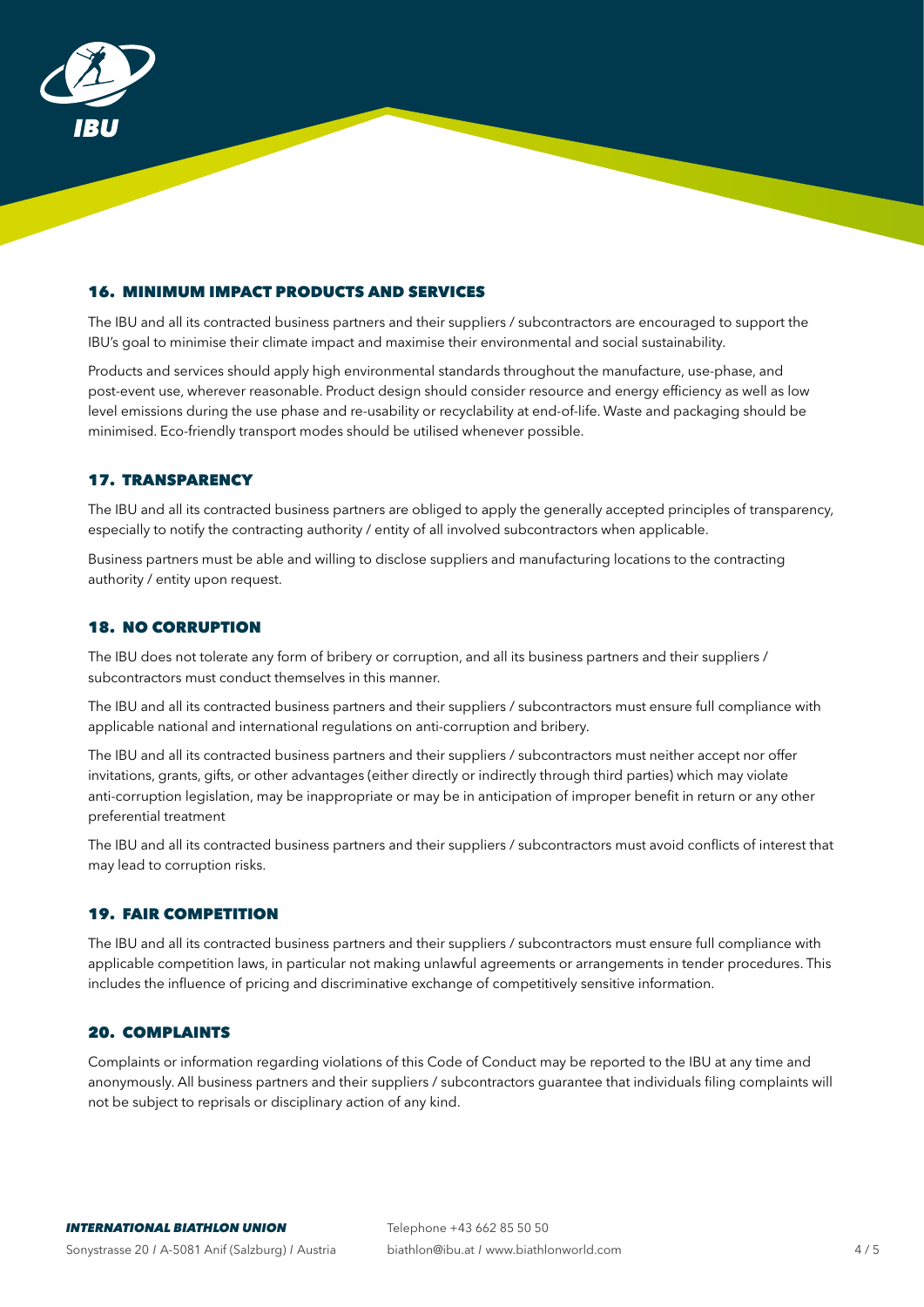

# 16. MINIMUM IMPACT PRODUCTS AND SERVICES

The IBU and all its contracted business partners and their suppliers / subcontractors are encouraged to support the IBU's goal to minimise their climate impact and maximise their environmental and social sustainability.

Products and services should apply high environmental standards throughout the manufacture, use-phase, and post-event use, wherever reasonable. Product design should consider resource and energy efficiency as well as low level emissions during the use phase and re-usability or recyclability at end-of-life. Waste and packaging should be minimised. Eco-friendly transport modes should be utilised whenever possible.

## 17. TRANSPARENCY

The IBU and all its contracted business partners are obliged to apply the generally accepted principles of transparency, especially to notify the contracting authority / entity of all involved subcontractors when applicable.

Business partners must be able and willing to disclose suppliers and manufacturing locations to the contracting authority / entity upon request.

#### 18. NO CORRUPTION

The IBU does not tolerate any form of bribery or corruption, and all its business partners and their suppliers / subcontractors must conduct themselves in this manner.

The IBU and all its contracted business partners and their suppliers / subcontractors must ensure full compliance with applicable national and international regulations on anti-corruption and bribery.

The IBU and all its contracted business partners and their suppliers / subcontractors must neither accept nor offer invitations, grants, gifts, or other advantages (either directly or indirectly through third parties) which may violate anti-corruption legislation, may be inappropriate or may be in anticipation of improper benefit in return or any other preferential treatment

The IBU and all its contracted business partners and their suppliers / subcontractors must avoid conflicts of interest that may lead to corruption risks.

## 19. FAIR COMPETITION

The IBU and all its contracted business partners and their suppliers / subcontractors must ensure full compliance with applicable competition laws, in particular not making unlawful agreements or arrangements in tender procedures. This includes the influence of pricing and discriminative exchange of competitively sensitive information.

## 20. COMPLAINTS

Complaints or information regarding violations of this Code of Conduct may be reported to the IBU at any time and anonymously. All business partners and their suppliers / subcontractors guarantee that individuals filing complaints will not be subject to reprisals or disciplinary action of any kind.